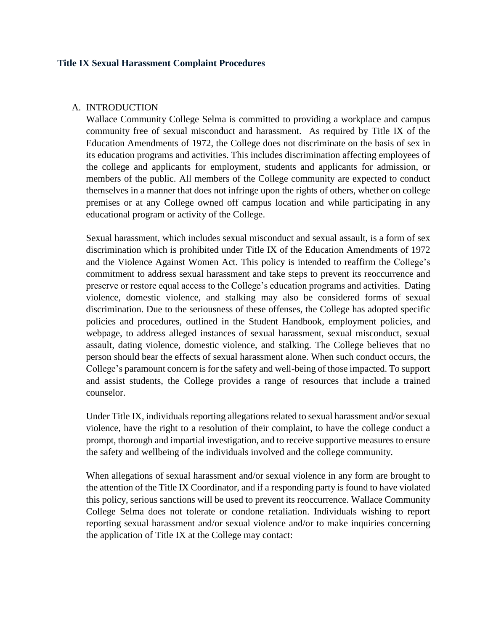#### **Title IX Sexual Harassment Complaint Procedures**

#### A. INTRODUCTION

Wallace Community College Selma is committed to providing a workplace and campus community free of sexual misconduct and harassment. As required by Title IX of the Education Amendments of 1972, the College does not discriminate on the basis of sex in its education programs and activities. This includes discrimination affecting employees of the college and applicants for employment, students and applicants for admission, or members of the public. All members of the College community are expected to conduct themselves in a manner that does not infringe upon the rights of others, whether on college premises or at any College owned off campus location and while participating in any educational program or activity of the College.

Sexual harassment, which includes sexual misconduct and sexual assault, is a form of sex discrimination which is prohibited under Title IX of the Education Amendments of 1972 and the Violence Against Women Act. This policy is intended to reaffirm the College's commitment to address sexual harassment and take steps to prevent its reoccurrence and preserve or restore equal access to the College's education programs and activities. Dating violence, domestic violence, and stalking may also be considered forms of sexual discrimination. Due to the seriousness of these offenses, the College has adopted specific policies and procedures, outlined in the Student Handbook, employment policies, and webpage, to address alleged instances of sexual harassment, sexual misconduct, sexual assault, dating violence, domestic violence, and stalking. The College believes that no person should bear the effects of sexual harassment alone. When such conduct occurs, the College's paramount concern is for the safety and well-being of those impacted. To support and assist students, the College provides a range of resources that include a trained counselor.

Under Title IX, individuals reporting allegations related to sexual harassment and/or sexual violence, have the right to a resolution of their complaint, to have the college conduct a prompt, thorough and impartial investigation, and to receive supportive measures to ensure the safety and wellbeing of the individuals involved and the college community.

When allegations of sexual harassment and/or sexual violence in any form are brought to the attention of the Title IX Coordinator, and if a responding party is found to have violated this policy, serious sanctions will be used to prevent its reoccurrence. Wallace Community College Selma does not tolerate or condone retaliation. Individuals wishing to report reporting sexual harassment and/or sexual violence and/or to make inquiries concerning the application of Title IX at the College may contact: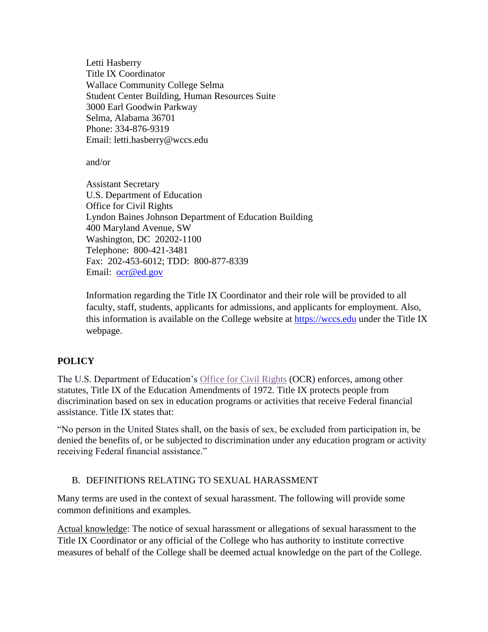Letti Hasberry Title IX Coordinator Wallace Community College Selma Student Center Building, Human Resources Suite 3000 Earl Goodwin Parkway Selma, Alabama 36701 Phone: 334-876-9319 Email: letti.hasberry@wccs.edu

and/or

Assistant Secretary U.S. Department of Education Office for Civil Rights Lyndon Baines Johnson Department of Education Building 400 Maryland Avenue, SW Washington, DC 20202-1100 Telephone: 800-421-3481 Fax: 202-453-6012; TDD: 800-877-8339 Email: [ocr@ed.gov](mailto:ocr@ed.gov)

Information regarding the Title IX Coordinator and their role will be provided to all faculty, staff, students, applicants for admissions, and applicants for employment. Also, this information is available on the College website at [https://wccs.edu](https://wccs.edu/) under the Title IX webpage.

## **POLICY**

The U.S. Department of Education's [Office for Civil Rights](https://www2.ed.gov/about/offices/list/ocr/aboutocr.html) (OCR) enforces, among other statutes, Title IX of the Education Amendments of 1972. Title IX protects people from discrimination based on sex in education programs or activities that receive Federal financial assistance. Title IX states that:

"No person in the United States shall, on the basis of sex, be excluded from participation in, be denied the benefits of, or be subjected to discrimination under any education program or activity receiving Federal financial assistance."

## B. DEFINITIONS RELATING TO SEXUAL HARASSMENT

Many terms are used in the context of sexual harassment. The following will provide some common definitions and examples.

Actual knowledge: The notice of sexual harassment or allegations of sexual harassment to the Title IX Coordinator or any official of the College who has authority to institute corrective measures of behalf of the College shall be deemed actual knowledge on the part of the College.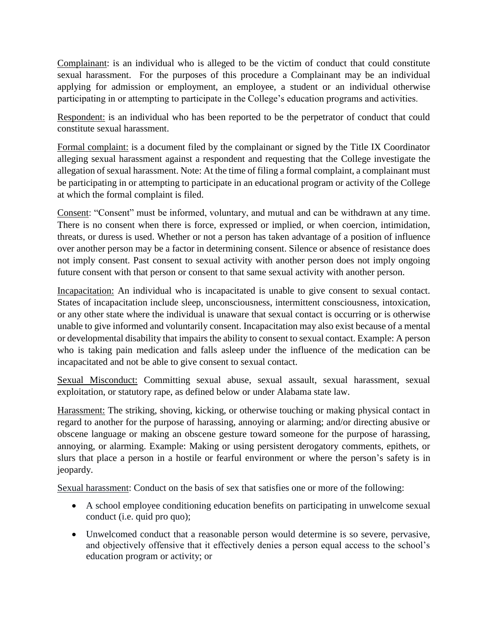Complainant: is an individual who is alleged to be the victim of conduct that could constitute sexual harassment. For the purposes of this procedure a Complainant may be an individual applying for admission or employment, an employee, a student or an individual otherwise participating in or attempting to participate in the College's education programs and activities.

Respondent: is an individual who has been reported to be the perpetrator of conduct that could constitute sexual harassment.

Formal complaint: is a document filed by the complainant or signed by the Title IX Coordinator alleging sexual harassment against a respondent and requesting that the College investigate the allegation of sexual harassment. Note: At the time of filing a formal complaint, a complainant must be participating in or attempting to participate in an educational program or activity of the College at which the formal complaint is filed.

Consent: "Consent" must be informed, voluntary, and mutual and can be withdrawn at any time. There is no consent when there is force, expressed or implied, or when coercion, intimidation, threats, or duress is used. Whether or not a person has taken advantage of a position of influence over another person may be a factor in determining consent. Silence or absence of resistance does not imply consent. Past consent to sexual activity with another person does not imply ongoing future consent with that person or consent to that same sexual activity with another person.

Incapacitation: An individual who is incapacitated is unable to give consent to sexual contact. States of incapacitation include sleep, unconsciousness, intermittent consciousness, intoxication, or any other state where the individual is unaware that sexual contact is occurring or is otherwise unable to give informed and voluntarily consent. Incapacitation may also exist because of a mental or developmental disability that impairs the ability to consent to sexual contact. Example: A person who is taking pain medication and falls asleep under the influence of the medication can be incapacitated and not be able to give consent to sexual contact.

Sexual Misconduct: Committing sexual abuse, sexual assault, sexual harassment, sexual exploitation, or statutory rape, as defined below or under Alabama state law.

Harassment: The striking, shoving, kicking, or otherwise touching or making physical contact in regard to another for the purpose of harassing, annoying or alarming; and/or directing abusive or obscene language or making an obscene gesture toward someone for the purpose of harassing, annoying, or alarming. Example: Making or using persistent derogatory comments, epithets, or slurs that place a person in a hostile or fearful environment or where the person's safety is in jeopardy.

Sexual harassment: Conduct on the basis of sex that satisfies one or more of the following:

- A school employee conditioning education benefits on participating in unwelcome sexual conduct (i.e. quid pro quo);
- Unwelcomed conduct that a reasonable person would determine is so severe, pervasive, and objectively offensive that it effectively denies a person equal access to the school's education program or activity; or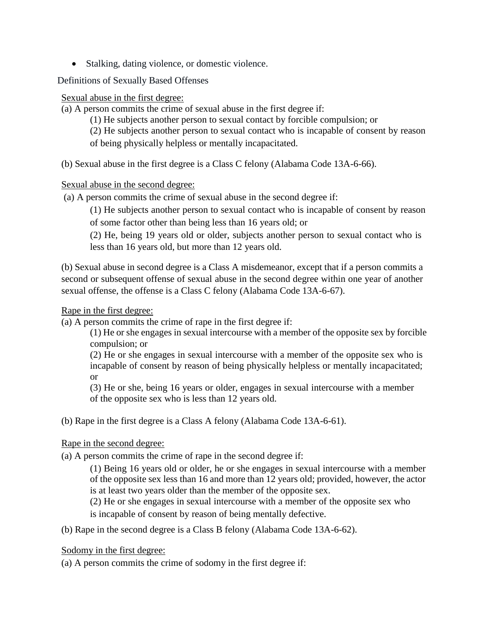• Stalking, dating violence, or domestic violence.

Definitions of Sexually Based Offenses

Sexual abuse in the first degree:

(a) A person commits the crime of sexual abuse in the first degree if:

(1) He subjects another person to sexual contact by forcible compulsion; or

(2) He subjects another person to sexual contact who is incapable of consent by reason

of being physically helpless or mentally incapacitated.

(b) Sexual abuse in the first degree is a Class C felony (Alabama Code 13A-6-66).

Sexual abuse in the second degree:

(a) A person commits the crime of sexual abuse in the second degree if:

(1) He subjects another person to sexual contact who is incapable of consent by reason of some factor other than being less than 16 years old; or

(2) He, being 19 years old or older, subjects another person to sexual contact who is less than 16 years old, but more than 12 years old.

(b) Sexual abuse in second degree is a Class A misdemeanor, except that if a person commits a second or subsequent offense of sexual abuse in the second degree within one year of another sexual offense, the offense is a Class C felony (Alabama Code 13A-6-67).

## Rape in the first degree:

(a) A person commits the crime of rape in the first degree if:

(1) He or she engages in sexual intercourse with a member of the opposite sex by forcible compulsion; or

(2) He or she engages in sexual intercourse with a member of the opposite sex who is incapable of consent by reason of being physically helpless or mentally incapacitated; or

(3) He or she, being 16 years or older, engages in sexual intercourse with a member of the opposite sex who is less than 12 years old.

(b) Rape in the first degree is a Class A felony (Alabama Code 13A-6-61).

# Rape in the second degree:

(a) A person commits the crime of rape in the second degree if:

(1) Being 16 years old or older, he or she engages in sexual intercourse with a member of the opposite sex less than 16 and more than 12 years old; provided, however, the actor is at least two years older than the member of the opposite sex.

(2) He or she engages in sexual intercourse with a member of the opposite sex who

is incapable of consent by reason of being mentally defective.

(b) Rape in the second degree is a Class B felony (Alabama Code 13A-6-62).

Sodomy in the first degree:

(a) A person commits the crime of sodomy in the first degree if: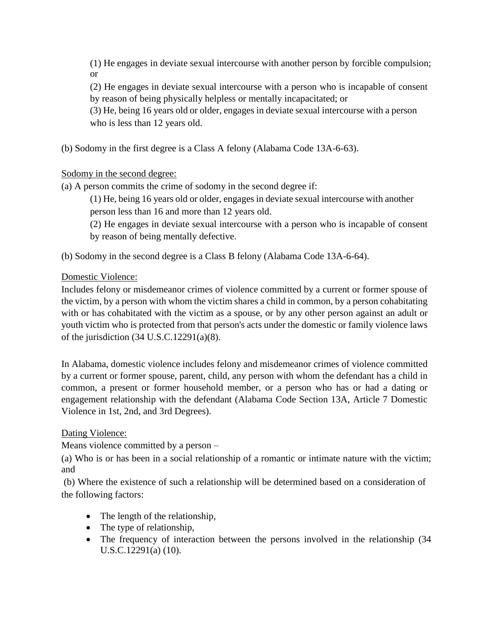(1) He engages in deviate sexual intercourse with another person by forcible compulsion; or

(2) He engages in deviate sexual intercourse with a person who is incapable of consent by reason of being physically helpless or mentally incapacitated; or

(3) He, being 16 years old or older, engages in deviate sexual intercourse with a person who is less than 12 years old.

(b) Sodomy in the first degree is a Class A felony (Alabama Code 13A-6-63).

Sodomy in the second degree:

(a) A person commits the crime of sodomy in the second degree if:

(1) He, being 16 years old or older, engages in deviate sexual intercourse with another person less than 16 and more than 12 years old.

(2) He engages in deviate sexual intercourse with a person who is incapable of consent by reason of being mentally defective.

(b) Sodomy in the second degree is a Class B felony (Alabama Code 13A-6-64).

Domestic Violence:

Includes felony or misdemeanor crimes of violence committed by a current or former spouse of the victim, by a person with whom the victim shares a child in common, by a person cohabitating with or has cohabitated with the victim as a spouse, or by any other person against an adult or youth victim who is protected from that person's acts under the domestic or family violence laws of the jurisdiction  $(34 \text{ U.S. C.12291(a)})(8)$ .

In Alabama, domestic violence includes felony and misdemeanor crimes of violence committed by a current or former spouse, parent, child, any person with whom the defendant has a child in common, a present or former household member, or a person who has or had a dating or engagement relationship with the defendant (Alabama Code Section 13A, Article 7 Domestic Violence in 1st, 2nd, and 3rd Degrees).

# Dating Violence:

Means violence committed by a person –

(a) Who is or has been in a social relationship of a romantic or intimate nature with the victim; and

(b) Where the existence of such a relationship will be determined based on a consideration of the following factors:

- The length of the relationship,
- The type of relationship,
- The frequency of interaction between the persons involved in the relationship (34 U.S.C.12291(a) (10).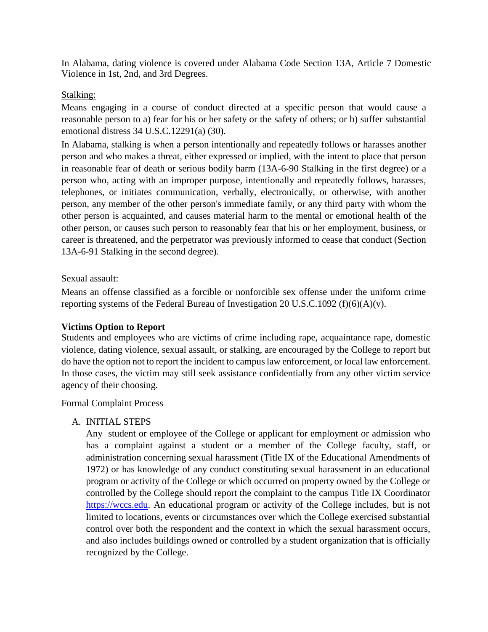In Alabama, dating violence is covered under Alabama Code Section 13A, Article 7 Domestic Violence in 1st, 2nd, and 3rd Degrees.

### Stalking:

Means engaging in a course of conduct directed at a specific person that would cause a reasonable person to a) fear for his or her safety or the safety of others; or b) suffer substantial emotional distress 34 U.S.C.12291(a) (30).

In Alabama, stalking is when a person intentionally and repeatedly follows or harasses another person and who makes a threat, either expressed or implied, with the intent to place that person in reasonable fear of death or serious bodily harm (13A-6-90 Stalking in the first degree) or a person who, acting with an improper purpose, intentionally and repeatedly follows, harasses, telephones, or initiates communication, verbally, electronically, or otherwise, with another person, any member of the other person's immediate family, or any third party with whom the other person is acquainted, and causes material harm to the mental or emotional health of the other person, or causes such person to reasonably fear that his or her employment, business, or career is threatened, and the perpetrator was previously informed to cease that conduct (Section 13A-6-91 Stalking in the second degree).

#### Sexual assault:

Means an offense classified as a forcible or nonforcible sex offense under the uniform crime reporting systems of the Federal Bureau of Investigation 20 U.S.C.1092 (f)(6)(A)(v).

## **Victims Option to Report**

Students and employees who are victims of crime including rape, acquaintance rape, domestic violence, dating violence, sexual assault, or stalking, are encouraged by the College to report but do have the option not to report the incident to campus law enforcement, or local law enforcement. In those cases, the victim may still seek assistance confidentially from any other victim service agency of their choosing.

#### Formal Complaint Process

## A. INITIAL STEPS

Any student or employee of the College or applicant for employment or admission who has a complaint against a student or a member of the College faculty, staff, or administration concerning sexual harassment (Title IX of the Educational Amendments of 1972) or has knowledge of any conduct constituting sexual harassment in an educational program or activity of the College or which occurred on property owned by the College or controlled by the College should report the complaint to the campus Title IX Coordinator https://wccs.edu. An educational program or activity of the College includes, but is not limited to locations, events or circumstances over which the College exercised substantial control over both the respondent and the context in which the sexual harassment occurs, and also includes buildings owned or controlled by a student organization that is officially recognized by the College.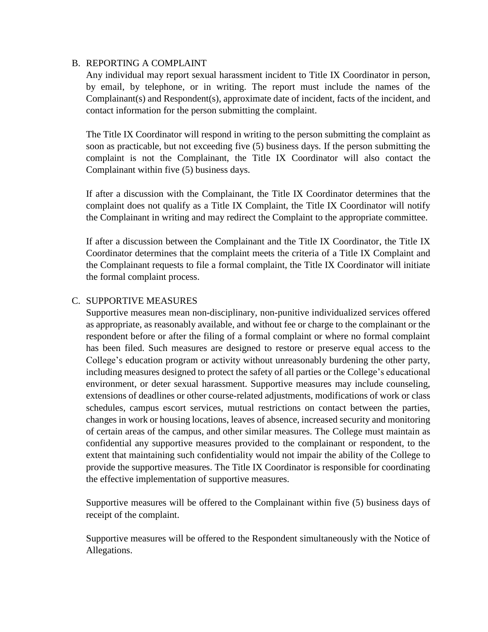### B. REPORTING A COMPLAINT

Any individual may report sexual harassment incident to Title IX Coordinator in person, by email, by telephone, or in writing. The report must include the names of the Complainant(s) and Respondent(s), approximate date of incident, facts of the incident, and contact information for the person submitting the complaint.

The Title IX Coordinator will respond in writing to the person submitting the complaint as soon as practicable, but not exceeding five (5) business days. If the person submitting the complaint is not the Complainant, the Title IX Coordinator will also contact the Complainant within five (5) business days.

If after a discussion with the Complainant, the Title IX Coordinator determines that the complaint does not qualify as a Title IX Complaint, the Title IX Coordinator will notify the Complainant in writing and may redirect the Complaint to the appropriate committee.

If after a discussion between the Complainant and the Title IX Coordinator, the Title IX Coordinator determines that the complaint meets the criteria of a Title IX Complaint and the Complainant requests to file a formal complaint, the Title IX Coordinator will initiate the formal complaint process.

## C. SUPPORTIVE MEASURES

Supportive measures mean non-disciplinary, non-punitive individualized services offered as appropriate, as reasonably available, and without fee or charge to the complainant or the respondent before or after the filing of a formal complaint or where no formal complaint has been filed. Such measures are designed to restore or preserve equal access to the College's education program or activity without unreasonably burdening the other party, including measures designed to protect the safety of all parties or the College's educational environment, or deter sexual harassment. Supportive measures may include counseling, extensions of deadlines or other course-related adjustments, modifications of work or class schedules, campus escort services, mutual restrictions on contact between the parties, changes in work or housing locations, leaves of absence, increased security and monitoring of certain areas of the campus, and other similar measures. The College must maintain as confidential any supportive measures provided to the complainant or respondent, to the extent that maintaining such confidentiality would not impair the ability of the College to provide the supportive measures. The Title IX Coordinator is responsible for coordinating the effective implementation of supportive measures.

Supportive measures will be offered to the Complainant within five (5) business days of receipt of the complaint.

Supportive measures will be offered to the Respondent simultaneously with the Notice of Allegations.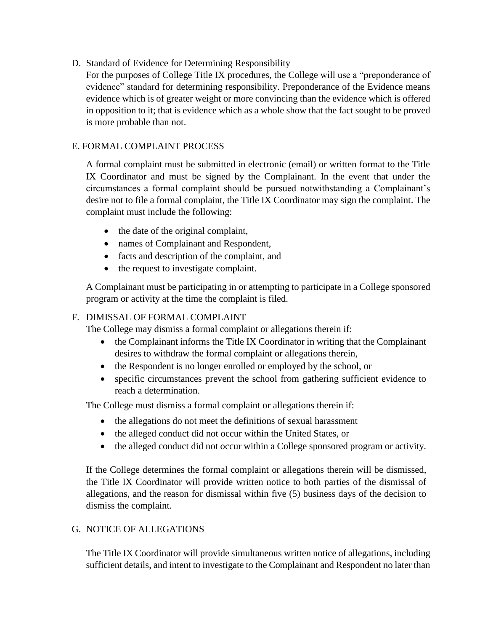D. Standard of Evidence for Determining Responsibility

For the purposes of College Title IX procedures, the College will use a "preponderance of evidence" standard for determining responsibility. Preponderance of the Evidence means evidence which is of greater weight or more convincing than the evidence which is offered in opposition to it; that is evidence which as a whole show that the fact sought to be proved is more probable than not.

## E. FORMAL COMPLAINT PROCESS

A formal complaint must be submitted in electronic (email) or written format to the Title IX Coordinator and must be signed by the Complainant. In the event that under the circumstances a formal complaint should be pursued notwithstanding a Complainant's desire not to file a formal complaint, the Title IX Coordinator may sign the complaint. The complaint must include the following:

- the date of the original complaint,
- names of Complainant and Respondent,
- facts and description of the complaint, and
- the request to investigate complaint.

A Complainant must be participating in or attempting to participate in a College sponsored program or activity at the time the complaint is filed.

## F. DIMISSAL OF FORMAL COMPLAINT

The College may dismiss a formal complaint or allegations therein if:

- the Complainant informs the Title IX Coordinator in writing that the Complainant desires to withdraw the formal complaint or allegations therein,
- the Respondent is no longer enrolled or employed by the school, or
- specific circumstances prevent the school from gathering sufficient evidence to reach a determination.

The College must dismiss a formal complaint or allegations therein if:

- the allegations do not meet the definitions of sexual harassment
- the alleged conduct did not occur within the United States, or
- the alleged conduct did not occur within a College sponsored program or activity.

If the College determines the formal complaint or allegations therein will be dismissed, the Title IX Coordinator will provide written notice to both parties of the dismissal of allegations, and the reason for dismissal within five (5) business days of the decision to dismiss the complaint.

## G. NOTICE OF ALLEGATIONS

The Title IX Coordinator will provide simultaneous written notice of allegations, including sufficient details, and intent to investigate to the Complainant and Respondent no later than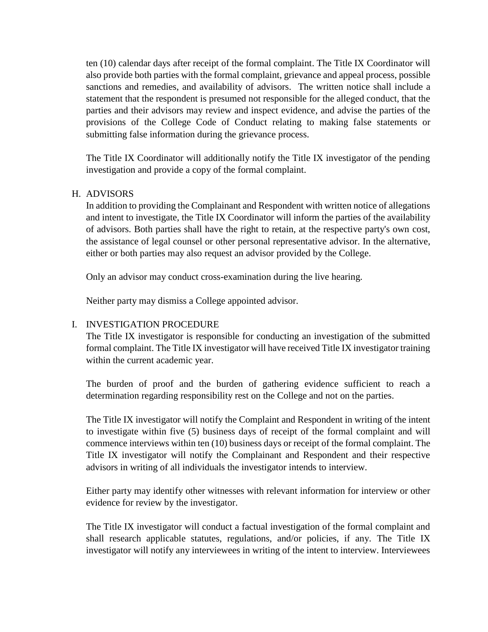ten (10) calendar days after receipt of the formal complaint. The Title IX Coordinator will also provide both parties with the formal complaint, grievance and appeal process, possible sanctions and remedies, and availability of advisors. The written notice shall include a statement that the respondent is presumed not responsible for the alleged conduct, that the parties and their advisors may review and inspect evidence, and advise the parties of the provisions of the College Code of Conduct relating to making false statements or submitting false information during the grievance process.

The Title IX Coordinator will additionally notify the Title IX investigator of the pending investigation and provide a copy of the formal complaint.

#### H. ADVISORS

In addition to providing the Complainant and Respondent with written notice of allegations and intent to investigate, the Title IX Coordinator will inform the parties of the availability of advisors. Both parties shall have the right to retain, at the respective party's own cost, the assistance of legal counsel or other personal representative advisor. In the alternative, either or both parties may also request an advisor provided by the College.

Only an advisor may conduct cross-examination during the live hearing.

Neither party may dismiss a College appointed advisor.

## I. INVESTIGATION PROCEDURE

The Title IX investigator is responsible for conducting an investigation of the submitted formal complaint. The Title IX investigator will have received Title IX investigator training within the current academic year.

The burden of proof and the burden of gathering evidence sufficient to reach a determination regarding responsibility rest on the College and not on the parties.

The Title IX investigator will notify the Complaint and Respondent in writing of the intent to investigate within five (5) business days of receipt of the formal complaint and will commence interviews within ten (10) business days or receipt of the formal complaint. The Title IX investigator will notify the Complainant and Respondent and their respective advisors in writing of all individuals the investigator intends to interview.

Either party may identify other witnesses with relevant information for interview or other evidence for review by the investigator.

The Title IX investigator will conduct a factual investigation of the formal complaint and shall research applicable statutes, regulations, and/or policies, if any. The Title IX investigator will notify any interviewees in writing of the intent to interview. Interviewees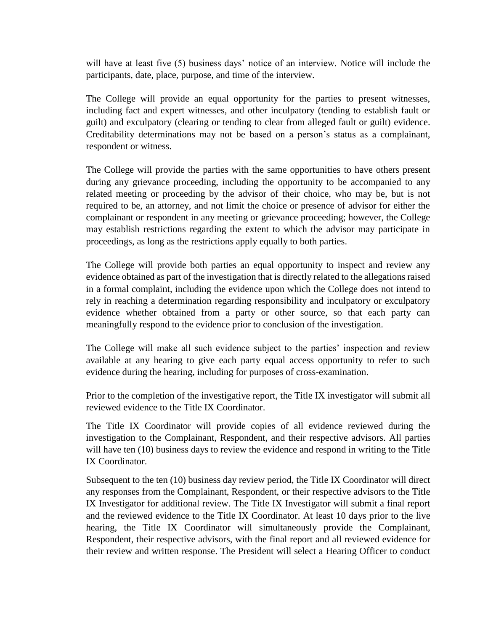will have at least five (5) business days' notice of an interview. Notice will include the participants, date, place, purpose, and time of the interview.

The College will provide an equal opportunity for the parties to present witnesses, including fact and expert witnesses, and other inculpatory (tending to establish fault or guilt) and exculpatory (clearing or tending to clear from alleged fault or guilt) evidence. Creditability determinations may not be based on a person's status as a complainant, respondent or witness.

The College will provide the parties with the same opportunities to have others present during any grievance proceeding, including the opportunity to be accompanied to any related meeting or proceeding by the advisor of their choice, who may be, but is not required to be, an attorney, and not limit the choice or presence of advisor for either the complainant or respondent in any meeting or grievance proceeding; however, the College may establish restrictions regarding the extent to which the advisor may participate in proceedings, as long as the restrictions apply equally to both parties.

The College will provide both parties an equal opportunity to inspect and review any evidence obtained as part of the investigation that is directly related to the allegations raised in a formal complaint, including the evidence upon which the College does not intend to rely in reaching a determination regarding responsibility and inculpatory or exculpatory evidence whether obtained from a party or other source, so that each party can meaningfully respond to the evidence prior to conclusion of the investigation.

The College will make all such evidence subject to the parties' inspection and review available at any hearing to give each party equal access opportunity to refer to such evidence during the hearing, including for purposes of cross-examination.

Prior to the completion of the investigative report, the Title IX investigator will submit all reviewed evidence to the Title IX Coordinator.

The Title IX Coordinator will provide copies of all evidence reviewed during the investigation to the Complainant, Respondent, and their respective advisors. All parties will have ten (10) business days to review the evidence and respond in writing to the Title IX Coordinator.

Subsequent to the ten (10) business day review period, the Title IX Coordinator will direct any responses from the Complainant, Respondent, or their respective advisors to the Title IX Investigator for additional review. The Title IX Investigator will submit a final report and the reviewed evidence to the Title IX Coordinator. At least 10 days prior to the live hearing, the Title IX Coordinator will simultaneously provide the Complainant, Respondent, their respective advisors, with the final report and all reviewed evidence for their review and written response. The President will select a Hearing Officer to conduct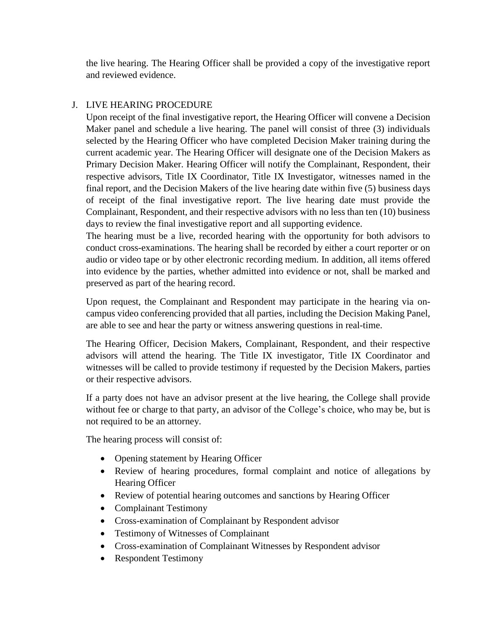the live hearing. The Hearing Officer shall be provided a copy of the investigative report and reviewed evidence.

## J. LIVE HEARING PROCEDURE

Upon receipt of the final investigative report, the Hearing Officer will convene a Decision Maker panel and schedule a live hearing. The panel will consist of three (3) individuals selected by the Hearing Officer who have completed Decision Maker training during the current academic year. The Hearing Officer will designate one of the Decision Makers as Primary Decision Maker. Hearing Officer will notify the Complainant, Respondent, their respective advisors, Title IX Coordinator, Title IX Investigator, witnesses named in the final report, and the Decision Makers of the live hearing date within five (5) business days of receipt of the final investigative report. The live hearing date must provide the Complainant, Respondent, and their respective advisors with no less than ten (10) business days to review the final investigative report and all supporting evidence.

The hearing must be a live, recorded hearing with the opportunity for both advisors to conduct cross-examinations. The hearing shall be recorded by either a court reporter or on audio or video tape or by other electronic recording medium. In addition, all items offered into evidence by the parties, whether admitted into evidence or not, shall be marked and preserved as part of the hearing record.

Upon request, the Complainant and Respondent may participate in the hearing via oncampus video conferencing provided that all parties, including the Decision Making Panel, are able to see and hear the party or witness answering questions in real-time.

The Hearing Officer, Decision Makers, Complainant, Respondent, and their respective advisors will attend the hearing. The Title IX investigator, Title IX Coordinator and witnesses will be called to provide testimony if requested by the Decision Makers, parties or their respective advisors.

If a party does not have an advisor present at the live hearing, the College shall provide without fee or charge to that party, an advisor of the College's choice, who may be, but is not required to be an attorney.

The hearing process will consist of:

- Opening statement by Hearing Officer
- Review of hearing procedures, formal complaint and notice of allegations by Hearing Officer
- Review of potential hearing outcomes and sanctions by Hearing Officer
- Complainant Testimony
- Cross-examination of Complainant by Respondent advisor
- Testimony of Witnesses of Complainant
- Cross-examination of Complainant Witnesses by Respondent advisor
- Respondent Testimony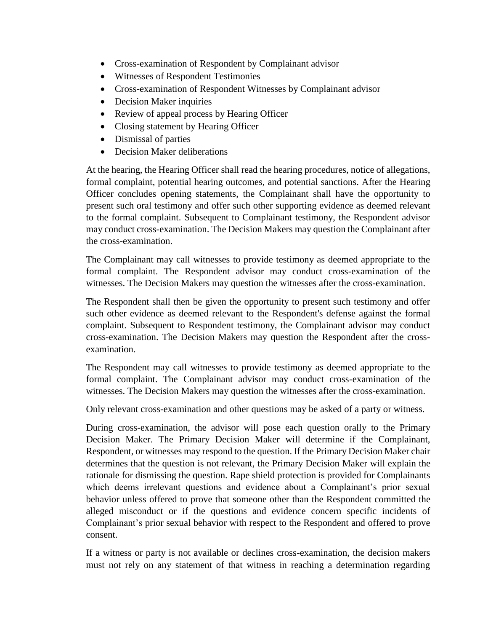- Cross-examination of Respondent by Complainant advisor
- Witnesses of Respondent Testimonies
- Cross-examination of Respondent Witnesses by Complainant advisor
- Decision Maker inquiries
- Review of appeal process by Hearing Officer
- Closing statement by Hearing Officer
- Dismissal of parties
- Decision Maker deliberations

At the hearing, the Hearing Officer shall read the hearing procedures, notice of allegations, formal complaint, potential hearing outcomes, and potential sanctions. After the Hearing Officer concludes opening statements, the Complainant shall have the opportunity to present such oral testimony and offer such other supporting evidence as deemed relevant to the formal complaint. Subsequent to Complainant testimony, the Respondent advisor may conduct cross-examination. The Decision Makers may question the Complainant after the cross-examination.

The Complainant may call witnesses to provide testimony as deemed appropriate to the formal complaint. The Respondent advisor may conduct cross-examination of the witnesses. The Decision Makers may question the witnesses after the cross-examination.

The Respondent shall then be given the opportunity to present such testimony and offer such other evidence as deemed relevant to the Respondent's defense against the formal complaint. Subsequent to Respondent testimony, the Complainant advisor may conduct cross-examination. The Decision Makers may question the Respondent after the crossexamination.

The Respondent may call witnesses to provide testimony as deemed appropriate to the formal complaint. The Complainant advisor may conduct cross-examination of the witnesses. The Decision Makers may question the witnesses after the cross-examination.

Only relevant cross-examination and other questions may be asked of a party or witness.

During cross-examination, the advisor will pose each question orally to the Primary Decision Maker. The Primary Decision Maker will determine if the Complainant, Respondent, or witnesses may respond to the question. If the Primary Decision Maker chair determines that the question is not relevant, the Primary Decision Maker will explain the rationale for dismissing the question. Rape shield protection is provided for Complainants which deems irrelevant questions and evidence about a Complainant's prior sexual behavior unless offered to prove that someone other than the Respondent committed the alleged misconduct or if the questions and evidence concern specific incidents of Complainant's prior sexual behavior with respect to the Respondent and offered to prove consent.

If a witness or party is not available or declines cross-examination, the decision makers must not rely on any statement of that witness in reaching a determination regarding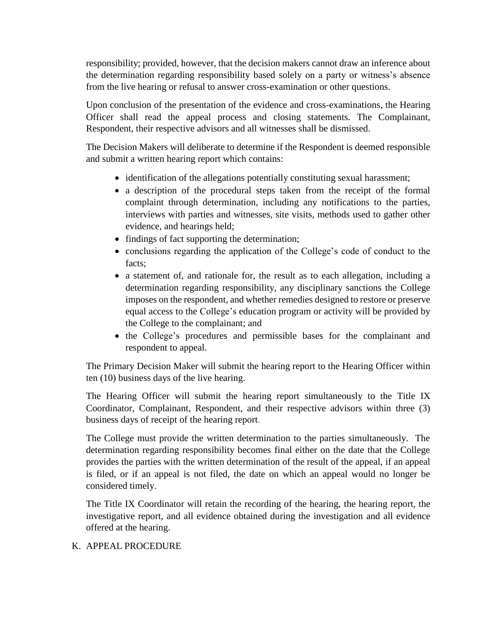responsibility; provided, however, that the decision makers cannot draw an inference about the determination regarding responsibility based solely on a party or witness's absence from the live hearing or refusal to answer cross-examination or other questions.

Upon conclusion of the presentation of the evidence and cross-examinations, the Hearing Officer shall read the appeal process and closing statements. The Complainant, Respondent, their respective advisors and all witnesses shall be dismissed.

The Decision Makers will deliberate to determine if the Respondent is deemed responsible and submit a written hearing report which contains:

- identification of the allegations potentially constituting sexual harassment;
- a description of the procedural steps taken from the receipt of the formal complaint through determination, including any notifications to the parties, interviews with parties and witnesses, site visits, methods used to gather other evidence, and hearings held;
- findings of fact supporting the determination;
- conclusions regarding the application of the College's code of conduct to the facts;
- a statement of, and rationale for, the result as to each allegation, including a determination regarding responsibility, any disciplinary sanctions the College imposes on the respondent, and whether remedies designed to restore or preserve equal access to the College's education program or activity will be provided by the College to the complainant; and
- the College's procedures and permissible bases for the complainant and respondent to appeal.

The Primary Decision Maker will submit the hearing report to the Hearing Officer within ten (10) business days of the live hearing.

The Hearing Officer will submit the hearing report simultaneously to the Title IX Coordinator, Complainant, Respondent, and their respective advisors within three (3) business days of receipt of the hearing report.

The College must provide the written determination to the parties simultaneously. The determination regarding responsibility becomes final either on the date that the College provides the parties with the written determination of the result of the appeal, if an appeal is filed, or if an appeal is not filed, the date on which an appeal would no longer be considered timely.

The Title IX Coordinator will retain the recording of the hearing, the hearing report, the investigative report, and all evidence obtained during the investigation and all evidence offered at the hearing.

## K. APPEAL PROCEDURE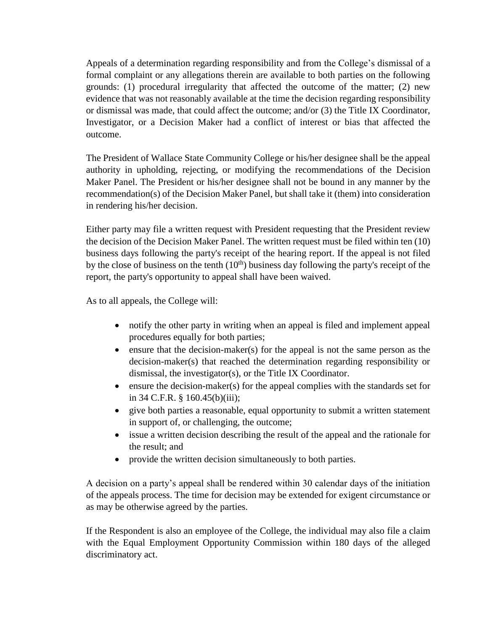Appeals of a determination regarding responsibility and from the College's dismissal of a formal complaint or any allegations therein are available to both parties on the following grounds: (1) procedural irregularity that affected the outcome of the matter; (2) new evidence that was not reasonably available at the time the decision regarding responsibility or dismissal was made, that could affect the outcome; and/or (3) the Title IX Coordinator, Investigator, or a Decision Maker had a conflict of interest or bias that affected the outcome.

The President of Wallace State Community College or his/her designee shall be the appeal authority in upholding, rejecting, or modifying the recommendations of the Decision Maker Panel. The President or his/her designee shall not be bound in any manner by the recommendation(s) of the Decision Maker Panel, but shall take it (them) into consideration in rendering his/her decision.

Either party may file a written request with President requesting that the President review the decision of the Decision Maker Panel. The written request must be filed within ten (10) business days following the party's receipt of the hearing report. If the appeal is not filed by the close of business on the tenth  $(10<sup>th</sup>)$  business day following the party's receipt of the report, the party's opportunity to appeal shall have been waived.

As to all appeals, the College will:

- notify the other party in writing when an appeal is filed and implement appeal procedures equally for both parties;
- $\bullet$  ensure that the decision-maker(s) for the appeal is not the same person as the decision-maker(s) that reached the determination regarding responsibility or dismissal, the investigator(s), or the Title IX Coordinator.
- $\bullet$  ensure the decision-maker(s) for the appeal complies with the standards set for in 34 C.F.R. § 160.45(b)(iii);
- give both parties a reasonable, equal opportunity to submit a written statement in support of, or challenging, the outcome;
- issue a written decision describing the result of the appeal and the rationale for the result; and
- provide the written decision simultaneously to both parties.

A decision on a party's appeal shall be rendered within 30 calendar days of the initiation of the appeals process. The time for decision may be extended for exigent circumstance or as may be otherwise agreed by the parties.

If the Respondent is also an employee of the College, the individual may also file a claim with the Equal Employment Opportunity Commission within 180 days of the alleged discriminatory act.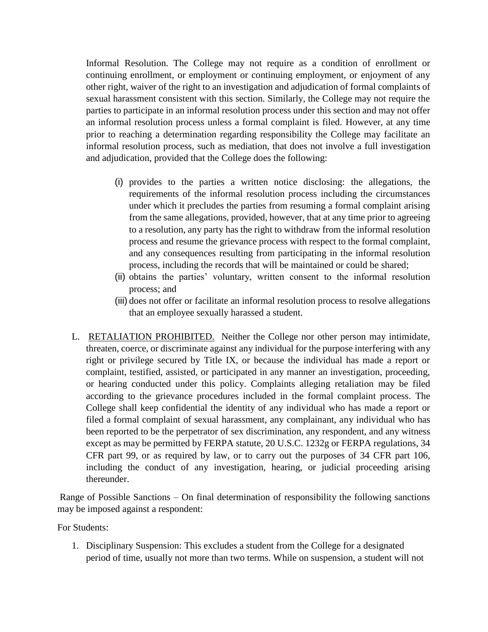Informal Resolution. The College may not require as a condition of enrollment or continuing enrollment, or employment or continuing employment, or enjoyment of any other right, waiver of the right to an investigation and adjudication of formal complaints of sexual harassment consistent with this section. Similarly, the College may not require the parties to participate in an informal resolution process under this section and may not offer an informal resolution process unless a formal complaint is filed. However, at any time prior to reaching a determination regarding responsibility the College may facilitate an informal resolution process, such as mediation, that does not involve a full investigation and adjudication, provided that the College does the following:

- (i) provides to the parties a written notice disclosing: the allegations, the requirements of the informal resolution process including the circumstances under which it precludes the parties from resuming a formal complaint arising from the same allegations, provided, however, that at any time prior to agreeing to a resolution, any party has the right to withdraw from the informal resolution process and resume the grievance process with respect to the formal complaint, and any consequences resulting from participating in the informal resolution process, including the records that will be maintained or could be shared;
- (ii) obtains the parties' voluntary, written consent to the informal resolution process; and
- (iii) does not offer or facilitate an informal resolution process to resolve allegations that an employee sexually harassed a student.
- L. RETALIATION PROHIBITED. Neither the College nor other person may intimidate, threaten, coerce, or discriminate against any individual for the purpose interfering with any right or privilege secured by Title IX, or because the individual has made a report or complaint, testified, assisted, or participated in any manner an investigation, proceeding, or hearing conducted under this policy. Complaints alleging retaliation may be filed according to the grievance procedures included in the formal complaint process. The College shall keep confidential the identity of any individual who has made a report or filed a formal complaint of sexual harassment, any complainant, any individual who has been reported to be the perpetrator of sex discrimination, any respondent, and any witness except as may be permitted by FERPA statute, 20 U.S.C. 1232g or FERPA regulations, 34 CFR part 99, or as required by law, or to carry out the purposes of 34 CFR part 106, including the conduct of any investigation, hearing, or judicial proceeding arising thereunder.

Range of Possible Sanctions – On final determination of responsibility the following sanctions may be imposed against a respondent:

For Students:

1. Disciplinary Suspension: This excludes a student from the College for a designated period of time, usually not more than two terms. While on suspension, a student will not